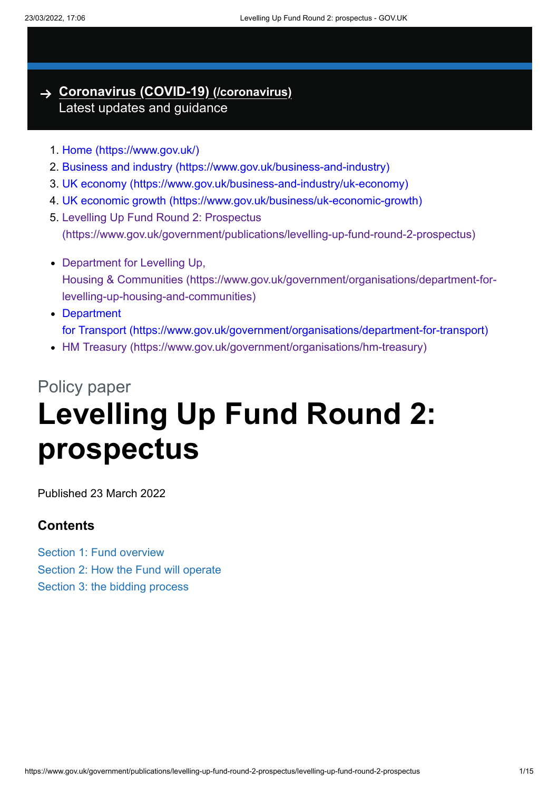#### **[Coronavirus](https://www.gov.uk/coronavirus) (COVID-19) (/coronavirus)** Latest updates and guidance

- 1. [Home \(https://www.gov.uk/\)](https://www.gov.uk/)
- 2. [Business and industry \(https://www.gov.uk/business-and-industry\)](https://www.gov.uk/business-and-industry)
- 3. [UK economy \(https://www.gov.uk/business-and-industry/uk-economy\)](https://www.gov.uk/business-and-industry/uk-economy)
- 4. [UK economic growth \(https://www.gov.uk/business/uk-economic-growth\)](https://www.gov.uk/business/uk-economic-growth)
- 5. Levelling Up Fund Round 2: Prospectus [\(https://www.gov.uk/government/publications/levelling-up-fund-round-2-prospectus\)](https://www.gov.uk/government/publications/levelling-up-fund-round-2-prospectus)
- Department for Levelling Up, Housing & Communities [\(https://www.gov.uk/government/organisations/department-for](https://www.gov.uk/government/organisations/department-for-levelling-up-housing-and-communities)levelling-up-housing-and-communities)
- Department for Transport [\(https://www.gov.uk/government/organisations/department-for-transport\)](https://www.gov.uk/government/organisations/department-for-transport)
- HM Treasury [\(https://www.gov.uk/government/organisations/hm-treasury\)](https://www.gov.uk/government/organisations/hm-treasury)

# Policy paper **Levelling Up Fund Round 2: prospectus**

Published 23 March 2022

#### **Contents**

Section 1: Fund overview Section 2: How the Fund will operate Section 3: the bidding process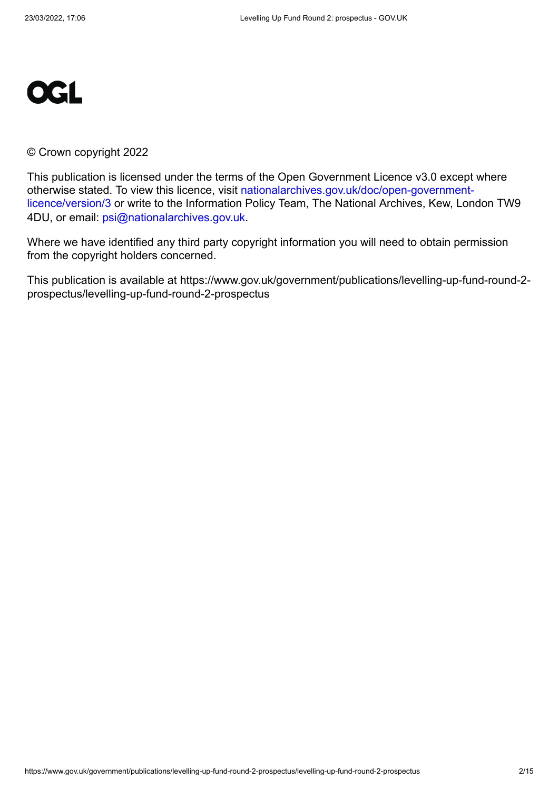

#### © Crown copyright 2022

This publication is licensed under the terms of the Open Government Licence v3.0 except where [otherwise stated. To view this licence, visit nationalarchives.gov.uk/doc/open-government](https://www.nationalarchives.gov.uk/doc/open-government-licence/version/3)licence/version/3 or write to the Information Policy Team, The National Archives, Kew, London TW9 4DU, or email: [psi@nationalarchives.gov.uk](mailto:psi@nationalarchives.gov.uk).

Where we have identified any third party copyright information you will need to obtain permission from the copyright holders concerned.

This publication is available at https://www.gov.uk/government/publications/levelling-up-fund-round-2 prospectus/levelling-up-fund-round-2-prospectus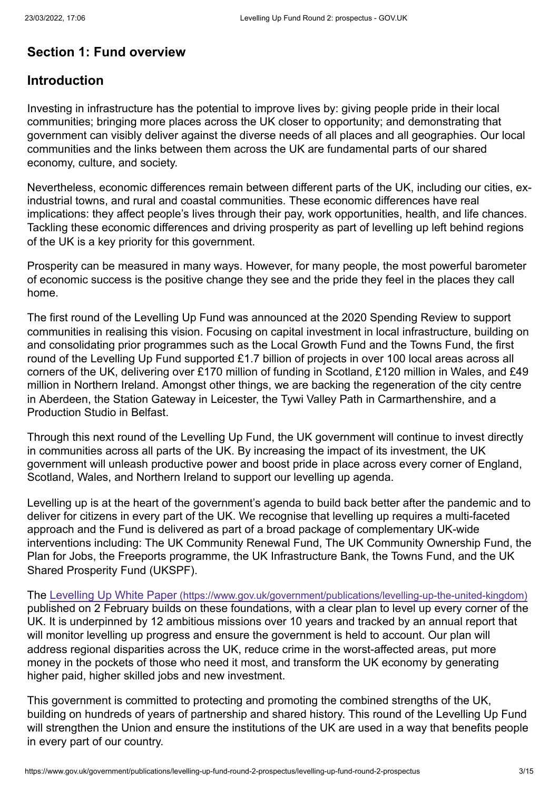# **Section 1: Fund overview**

#### **Introduction**

Investing in infrastructure has the potential to improve lives by: giving people pride in their local communities; bringing more places across the UK closer to opportunity; and demonstrating that government can visibly deliver against the diverse needs of all places and all geographies. Our local communities and the links between them across the UK are fundamental parts of our shared economy, culture, and society.

Nevertheless, economic differences remain between different parts of the UK, including our cities, exindustrial towns, and rural and coastal communities. These economic differences have real implications: they affect people's lives through their pay, work opportunities, health, and life chances. Tackling these economic differences and driving prosperity as part of levelling up left behind regions of the UK is a key priority for this government.

Prosperity can be measured in many ways. However, for many people, the most powerful barometer of economic success is the positive change they see and the pride they feel in the places they call home.

The first round of the Levelling Up Fund was announced at the 2020 Spending Review to support communities in realising this vision. Focusing on capital investment in local infrastructure, building on and consolidating prior programmes such as the Local Growth Fund and the Towns Fund, the first round of the Levelling Up Fund supported £1.7 billion of projects in over 100 local areas across all corners of the UK, delivering over £170 million of funding in Scotland, £120 million in Wales, and £49 million in Northern Ireland. Amongst other things, we are backing the regeneration of the city centre in Aberdeen, the Station Gateway in Leicester, the Tywi Valley Path in Carmarthenshire, and a Production Studio in Belfast.

Through this next round of the Levelling Up Fund, the UK government will continue to invest directly in communities across all parts of the UK. By increasing the impact of its investment, the UK government will unleash productive power and boost pride in place across every corner of England, Scotland, Wales, and Northern Ireland to support our levelling up agenda.

Levelling up is at the heart of the government's agenda to build back better after the pandemic and to deliver for citizens in every part of the UK. We recognise that levelling up requires a multi-faceted approach and the Fund is delivered as part of a broad package of complementary UK-wide interventions including: The UK Community Renewal Fund, The UK Community Ownership Fund, the Plan for Jobs, the Freeports programme, the UK Infrastructure Bank, the Towns Fund, and the UK Shared Prosperity Fund (UKSPF).

The Levelling Up White Paper [\(https://www.gov.uk/government/publications/levelling-up-the-united-kingdom\)](https://www.gov.uk/government/publications/levelling-up-the-united-kingdom) published on 2 February builds on these foundations, with a clear plan to level up every corner of the UK. It is underpinned by 12 ambitious missions over 10 years and tracked by an annual report that will monitor levelling up progress and ensure the government is held to account. Our plan will address regional disparities across the UK, reduce crime in the worst-affected areas, put more money in the pockets of those who need it most, and transform the UK economy by generating higher paid, higher skilled jobs and new investment.

This government is committed to protecting and promoting the combined strengths of the UK, building on hundreds of years of partnership and shared history. This round of the Levelling Up Fund will strengthen the Union and ensure the institutions of the UK are used in a way that benefits people in every part of our country.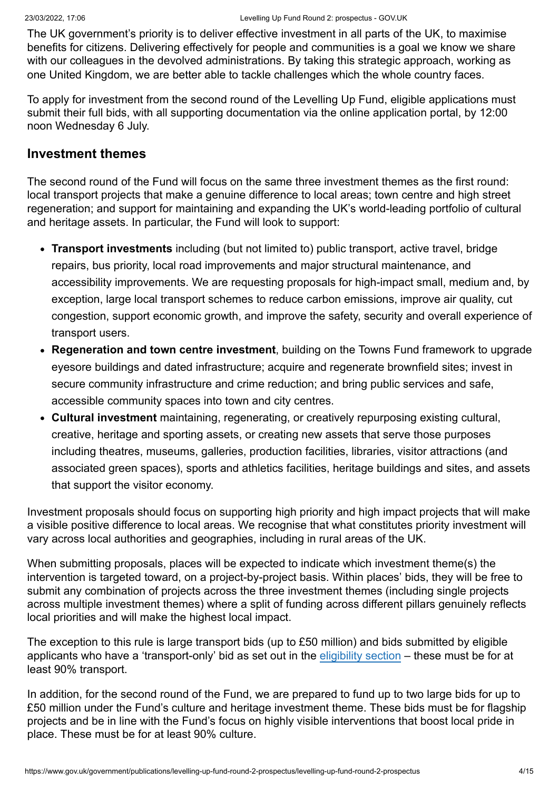The UK government's priority is to deliver effective investment in all parts of the UK, to maximise benefits for citizens. Delivering effectively for people and communities is a goal we know we share with our colleagues in the devolved administrations. By taking this strategic approach, working as one United Kingdom, we are better able to tackle challenges which the whole country faces.

To apply for investment from the second round of the Levelling Up Fund, eligible applications must submit their full bids, with all supporting documentation via the online application portal, by 12:00 noon Wednesday 6 July.

#### **Investment themes**

The second round of the Fund will focus on the same three investment themes as the first round: local transport projects that make a genuine difference to local areas; town centre and high street regeneration; and support for maintaining and expanding the UK's world-leading portfolio of cultural and heritage assets. In particular, the Fund will look to support:

- **Transport investments** including (but not limited to) public transport, active travel, bridge repairs, bus priority, local road improvements and major structural maintenance, and accessibility improvements. We are requesting proposals for high-impact small, medium and, by exception, large local transport schemes to reduce carbon emissions, improve air quality, cut congestion, support economic growth, and improve the safety, security and overall experience of transport users.
- **Regeneration and town centre investment**, building on the Towns Fund framework to upgrade eyesore buildings and dated infrastructure; acquire and regenerate brownfield sites; invest in secure community infrastructure and crime reduction; and bring public services and safe, accessible community spaces into town and city centres.
- **Cultural investment** maintaining, regenerating, or creatively repurposing existing cultural, creative, heritage and sporting assets, or creating new assets that serve those purposes including theatres, museums, galleries, production facilities, libraries, visitor attractions (and associated green spaces), sports and athletics facilities, heritage buildings and sites, and assets that support the visitor economy.

Investment proposals should focus on supporting high priority and high impact projects that will make a visible positive difference to local areas. We recognise that what constitutes priority investment will vary across local authorities and geographies, including in rural areas of the UK.

When submitting proposals, places will be expected to indicate which investment theme(s) the intervention is targeted toward, on a project-by-project basis. Within places' bids, they will be free to submit any combination of projects across the three investment themes (including single projects across multiple investment themes) where a split of funding across different pillars genuinely reflects local priorities and will make the highest local impact.

The exception to this rule is large transport bids (up to  $£50$  million) and bids submitted by eligible applicants who have a 'transport-only' bid as set out in the [eligibility section](#page-10-0) – these must be for at least 90% transport.

In addition, for the second round of the Fund, we are prepared to fund up to two large bids for up to £50 million under the Fund's culture and heritage investment theme. These bids must be for flagship projects and be in line with the Fund's focus on highly visible interventions that boost local pride in place. These must be for at least 90% culture.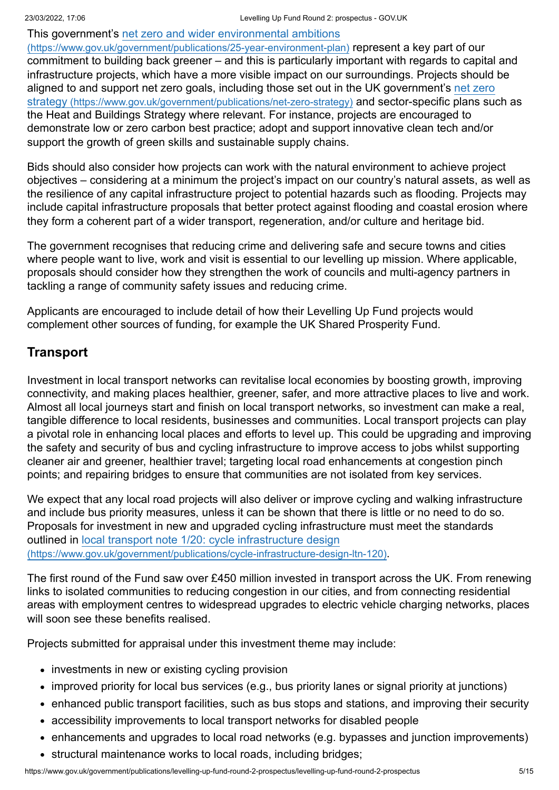[This government's net zero and wider environmental ambitions](https://www.gov.uk/government/publications/25-year-environment-plan) (https://www.gov.uk/government/publications/25-year-environment-plan) represent a key part of our commitment to building back greener – and this is particularly important with regards to capital and infrastructure projects, which have a more visible impact on our surroundings. Projects should be [aligned to and support net zero goals, including those set out in the UK government's net zero](https://www.gov.uk/government/publications/net-zero-strategy) strategy (https://www.gov.uk/government/publications/net-zero-strategy) and sector-specific plans such as the Heat and Buildings Strategy where relevant. For instance, projects are encouraged to demonstrate low or zero carbon best practice; adopt and support innovative clean tech and/or support the growth of green skills and sustainable supply chains.

Bids should also consider how projects can work with the natural environment to achieve project objectives – considering at a minimum the project's impact on our country's natural assets, as well as the resilience of any capital infrastructure project to potential hazards such as flooding. Projects may include capital infrastructure proposals that better protect against flooding and coastal erosion where they form a coherent part of a wider transport, regeneration, and/or culture and heritage bid.

The government recognises that reducing crime and delivering safe and secure towns and cities where people want to live, work and visit is essential to our levelling up mission. Where applicable, proposals should consider how they strengthen the work of councils and multi-agency partners in tackling a range of community safety issues and reducing crime.

Applicants are encouraged to include detail of how their Levelling Up Fund projects would complement other sources of funding, for example the UK Shared Prosperity Fund.

# **Transport**

Investment in local transport networks can revitalise local economies by boosting growth, improving connectivity, and making places healthier, greener, safer, and more attractive places to live and work. Almost all local journeys start and finish on local transport networks, so investment can make a real, tangible difference to local residents, businesses and communities. Local transport projects can play a pivotal role in enhancing local places and efforts to level up. This could be upgrading and improving the safety and security of bus and cycling infrastructure to improve access to jobs whilst supporting cleaner air and greener, healthier travel; targeting local road enhancements at congestion pinch points; and repairing bridges to ensure that communities are not isolated from key services.

We expect that any local road projects will also deliver or improve cycling and walking infrastructure and include bus priority measures, unless it can be shown that there is little or no need to do so. Proposals for investment in new and upgraded cycling infrastructure must meet the standards outlined in local transport note 1/20: cycle infrastructure design [\(https://www.gov.uk/government/publications/cycle-infrastructure-design-ltn-120\)](https://www.gov.uk/government/publications/cycle-infrastructure-design-ltn-120).

The first round of the Fund saw over £450 million invested in transport across the UK. From renewing links to isolated communities to reducing congestion in our cities, and from connecting residential areas with employment centres to widespread upgrades to electric vehicle charging networks, places will soon see these benefits realised.

Projects submitted for appraisal under this investment theme may include:

- investments in new or existing cycling provision
- improved priority for local bus services (e.g., bus priority lanes or signal priority at junctions)
- enhanced public transport facilities, such as bus stops and stations, and improving their security
- accessibility improvements to local transport networks for disabled people
- enhancements and upgrades to local road networks (e.g. bypasses and junction improvements)
- structural maintenance works to local roads, including bridges;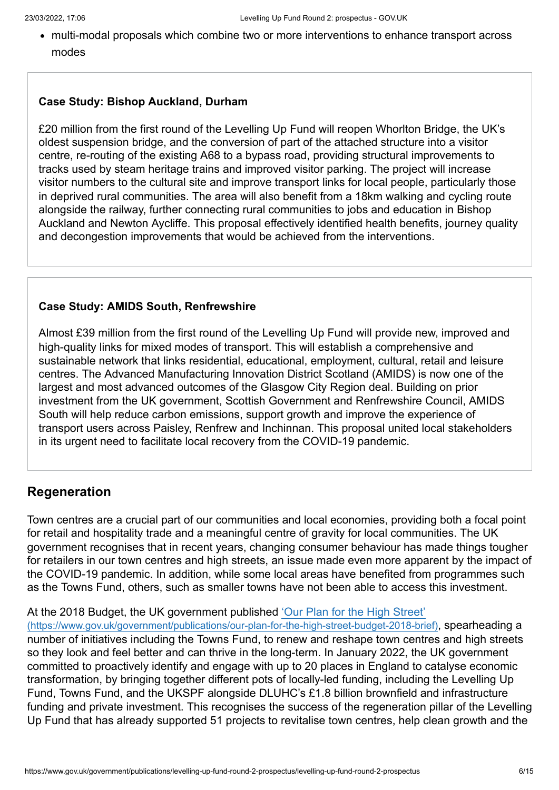multi-modal proposals which combine two or more interventions to enhance transport across modes

#### **Case Study: Bishop Auckland, Durham**

£20 million from the first round of the Levelling Up Fund will reopen Whorlton Bridge, the UK's oldest suspension bridge, and the conversion of part of the attached structure into a visitor centre, re-routing of the existing A68 to a bypass road, providing structural improvements to tracks used by steam heritage trains and improved visitor parking. The project will increase visitor numbers to the cultural site and improve transport links for local people, particularly those in deprived rural communities. The area will also benefit from a 18km walking and cycling route alongside the railway, further connecting rural communities to jobs and education in Bishop Auckland and Newton Aycliffe. This proposal effectively identified health benefits, journey quality and decongestion improvements that would be achieved from the interventions.

#### **Case Study: AMIDS South, Renfrewshire**

Almost £39 million from the first round of the Levelling Up Fund will provide new, improved and high-quality links for mixed modes of transport. This will establish a comprehensive and sustainable network that links residential, educational, employment, cultural, retail and leisure centres. The Advanced Manufacturing Innovation District Scotland (AMIDS) is now one of the largest and most advanced outcomes of the Glasgow City Region deal. Building on prior investment from the UK government, Scottish Government and Renfrewshire Council, AMIDS South will help reduce carbon emissions, support growth and improve the experience of transport users across Paisley, Renfrew and Inchinnan. This proposal united local stakeholders in its urgent need to facilitate local recovery from the COVID-19 pandemic.

#### **Regeneration**

Town centres are a crucial part of our communities and local economies, providing both a focal point for retail and hospitality trade and a meaningful centre of gravity for local communities. The UK government recognises that in recent years, changing consumer behaviour has made things tougher for retailers in our town centres and high streets, an issue made even more apparent by the impact of the COVID-19 pandemic. In addition, while some local areas have benefited from programmes such as the Towns Fund, others, such as smaller towns have not been able to access this investment.

#### [At the 2018 Budget, the UK government published 'Our Plan for the High Street'](https://www.gov.uk/government/publications/our-plan-for-the-high-street-budget-2018-brief)

(https://www.gov.uk/government/publications/our-plan-for-the-high-street-budget-2018-brief), spearheading a number of initiatives including the Towns Fund, to renew and reshape town centres and high streets so they look and feel better and can thrive in the long-term. In January 2022, the UK government committed to proactively identify and engage with up to 20 places in England to catalyse economic transformation, by bringing together different pots of locally-led funding, including the Levelling Up Fund, Towns Fund, and the UKSPF alongside DLUHC's £1.8 billion brownfield and infrastructure funding and private investment. This recognises the success of the regeneration pillar of the Levelling Up Fund that has already supported 51 projects to revitalise town centres, help clean growth and the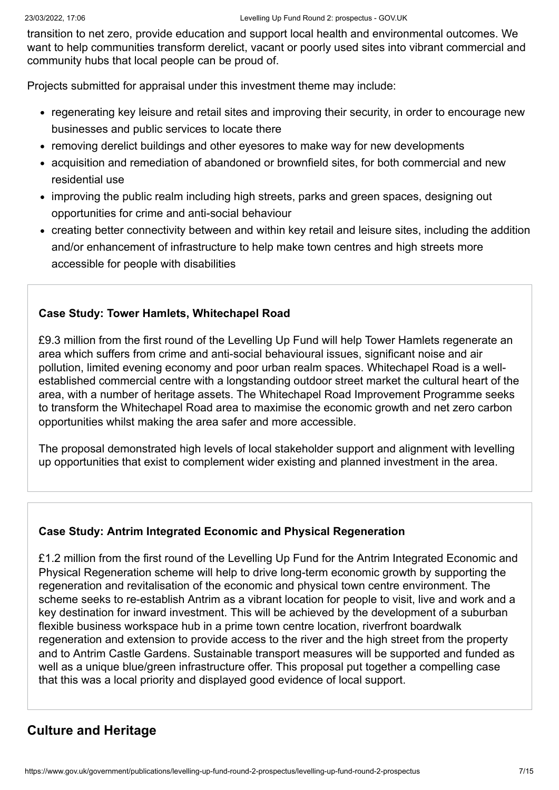transition to net zero, provide education and support local health and environmental outcomes. We want to help communities transform derelict, vacant or poorly used sites into vibrant commercial and community hubs that local people can be proud of.

Projects submitted for appraisal under this investment theme may include:

- regenerating key leisure and retail sites and improving their security, in order to encourage new businesses and public services to locate there
- removing derelict buildings and other eyesores to make way for new developments
- acquisition and remediation of abandoned or brownfield sites, for both commercial and new residential use
- improving the public realm including high streets, parks and green spaces, designing out opportunities for crime and anti-social behaviour
- creating better connectivity between and within key retail and leisure sites, including the addition and/or enhancement of infrastructure to help make town centres and high streets more accessible for people with disabilities

#### **Case Study: Tower Hamlets, Whitechapel Road**

£9.3 million from the first round of the Levelling Up Fund will help Tower Hamlets regenerate an area which suffers from crime and anti-social behavioural issues, significant noise and air pollution, limited evening economy and poor urban realm spaces. Whitechapel Road is a wellestablished commercial centre with a longstanding outdoor street market the cultural heart of the area, with a number of heritage assets. The Whitechapel Road Improvement Programme seeks to transform the Whitechapel Road area to maximise the economic growth and net zero carbon opportunities whilst making the area safer and more accessible.

The proposal demonstrated high levels of local stakeholder support and alignment with levelling up opportunities that exist to complement wider existing and planned investment in the area.

#### **Case Study: Antrim Integrated Economic and Physical Regeneration**

£1.2 million from the first round of the Levelling Up Fund for the Antrim Integrated Economic and Physical Regeneration scheme will help to drive long-term economic growth by supporting the regeneration and revitalisation of the economic and physical town centre environment. The scheme seeks to re-establish Antrim as a vibrant location for people to visit, live and work and a key destination for inward investment. This will be achieved by the development of a suburban flexible business workspace hub in a prime town centre location, riverfront boardwalk regeneration and extension to provide access to the river and the high street from the property and to Antrim Castle Gardens. Sustainable transport measures will be supported and funded as well as a unique blue/green infrastructure offer. This proposal put together a compelling case that this was a local priority and displayed good evidence of local support.

# **Culture and Heritage**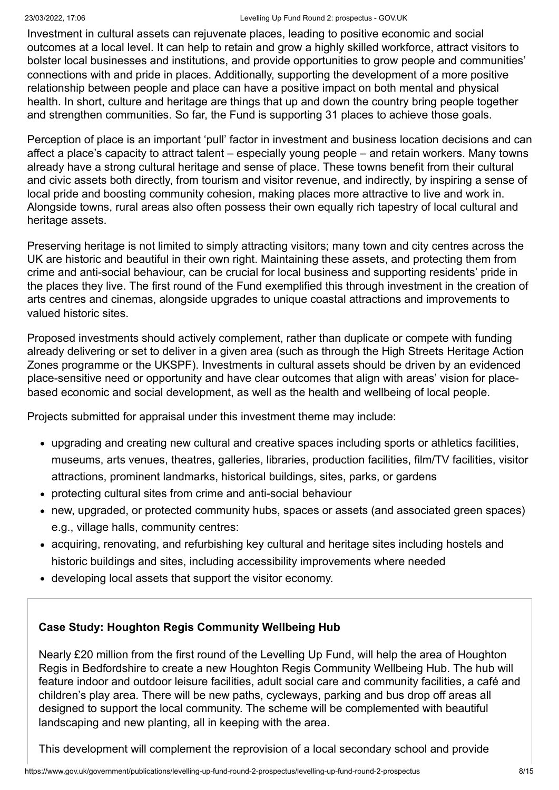#### 23/03/2022, 17:06 Levelling Up Fund Round 2: prospectus - GOV.UK

Investment in cultural assets can rejuvenate places, leading to positive economic and social outcomes at a local level. It can help to retain and grow a highly skilled workforce, attract visitors to bolster local businesses and institutions, and provide opportunities to grow people and communities' connections with and pride in places. Additionally, supporting the development of a more positive relationship between people and place can have a positive impact on both mental and physical health. In short, culture and heritage are things that up and down the country bring people together and strengthen communities. So far, the Fund is supporting 31 places to achieve those goals.

Perception of place is an important 'pull' factor in investment and business location decisions and can affect a place's capacity to attract talent – especially young people – and retain workers. Many towns already have a strong cultural heritage and sense of place. These towns benefit from their cultural and civic assets both directly, from tourism and visitor revenue, and indirectly, by inspiring a sense of local pride and boosting community cohesion, making places more attractive to live and work in. Alongside towns, rural areas also often possess their own equally rich tapestry of local cultural and heritage assets.

Preserving heritage is not limited to simply attracting visitors; many town and city centres across the UK are historic and beautiful in their own right. Maintaining these assets, and protecting them from crime and anti-social behaviour, can be crucial for local business and supporting residents' pride in the places they live. The first round of the Fund exemplified this through investment in the creation of arts centres and cinemas, alongside upgrades to unique coastal attractions and improvements to valued historic sites.

Proposed investments should actively complement, rather than duplicate or compete with funding already delivering or set to deliver in a given area (such as through the High Streets Heritage Action Zones programme or the UKSPF). Investments in cultural assets should be driven by an evidenced place-sensitive need or opportunity and have clear outcomes that align with areas' vision for placebased economic and social development, as well as the health and wellbeing of local people.

Projects submitted for appraisal under this investment theme may include:

- upgrading and creating new cultural and creative spaces including sports or athletics facilities, museums, arts venues, theatres, galleries, libraries, production facilities, film/TV facilities, visitor attractions, prominent landmarks, historical buildings, sites, parks, or gardens
- protecting cultural sites from crime and anti-social behaviour
- new, upgraded, or protected community hubs, spaces or assets (and associated green spaces) e.g., village halls, community centres:
- acquiring, renovating, and refurbishing key cultural and heritage sites including hostels and historic buildings and sites, including accessibility improvements where needed
- developing local assets that support the visitor economy.

#### **Case Study: Houghton Regis Community Wellbeing Hub**

Nearly £20 million from the first round of the Levelling Up Fund, will help the area of Houghton Regis in Bedfordshire to create a new Houghton Regis Community Wellbeing Hub. The hub will feature indoor and outdoor leisure facilities, adult social care and community facilities, a café and children's play area. There will be new paths, cycleways, parking and bus drop off areas all designed to support the local community. The scheme will be complemented with beautiful landscaping and new planting, all in keeping with the area.

This development will complement the reprovision of a local secondary school and provide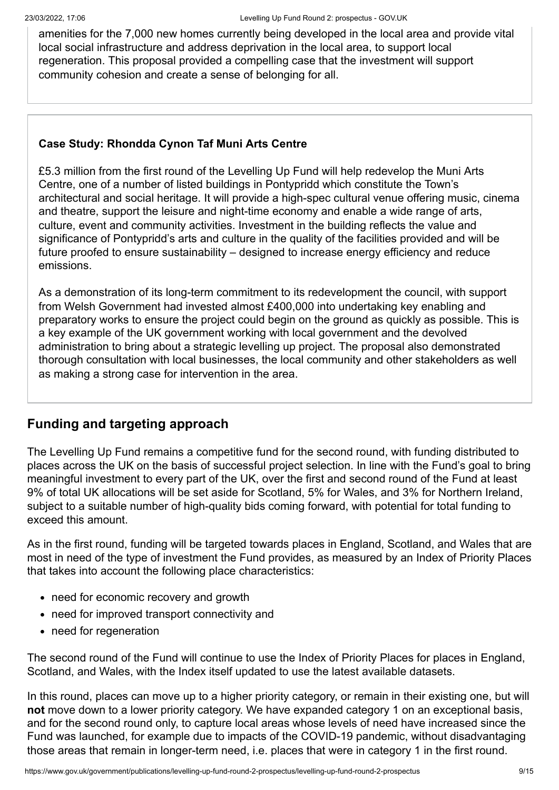amenities for the 7,000 new homes currently being developed in the local area and provide vital local social infrastructure and address deprivation in the local area, to support local regeneration. This proposal provided a compelling case that the investment will support community cohesion and create a sense of belonging for all.

#### **Case Study: Rhondda Cynon Taf Muni Arts Centre**

£5.3 million from the first round of the Levelling Up Fund will help redevelop the Muni Arts Centre, one of a number of listed buildings in Pontypridd which constitute the Town's architectural and social heritage. It will provide a high-spec cultural venue offering music, cinema and theatre, support the leisure and night-time economy and enable a wide range of arts, culture, event and community activities. Investment in the building reflects the value and significance of Pontypridd's arts and culture in the quality of the facilities provided and will be future proofed to ensure sustainability – designed to increase energy efficiency and reduce emissions.

As a demonstration of its long-term commitment to its redevelopment the council, with support from Welsh Government had invested almost £400,000 into undertaking key enabling and preparatory works to ensure the project could begin on the ground as quickly as possible. This is a key example of the UK government working with local government and the devolved administration to bring about a strategic levelling up project. The proposal also demonstrated thorough consultation with local businesses, the local community and other stakeholders as well as making a strong case for intervention in the area.

# **Funding and targeting approach**

The Levelling Up Fund remains a competitive fund for the second round, with funding distributed to places across the UK on the basis of successful project selection. In line with the Fund's goal to bring meaningful investment to every part of the UK, over the first and second round of the Fund at least 9% of total UK allocations will be set aside for Scotland, 5% for Wales, and 3% for Northern Ireland, subject to a suitable number of high-quality bids coming forward, with potential for total funding to exceed this amount.

As in the first round, funding will be targeted towards places in England, Scotland, and Wales that are most in need of the type of investment the Fund provides, as measured by an Index of Priority Places that takes into account the following place characteristics:

- need for economic recovery and growth
- need for improved transport connectivity and
- need for regeneration

The second round of the Fund will continue to use the Index of Priority Places for places in England, Scotland, and Wales, with the Index itself updated to use the latest available datasets.

In this round, places can move up to a higher priority category, or remain in their existing one, but will **not** move down to a lower priority category. We have expanded category 1 on an exceptional basis, and for the second round only, to capture local areas whose levels of need have increased since the Fund was launched, for example due to impacts of the COVID-19 pandemic, without disadvantaging those areas that remain in longer-term need, i.e. places that were in category 1 in the first round.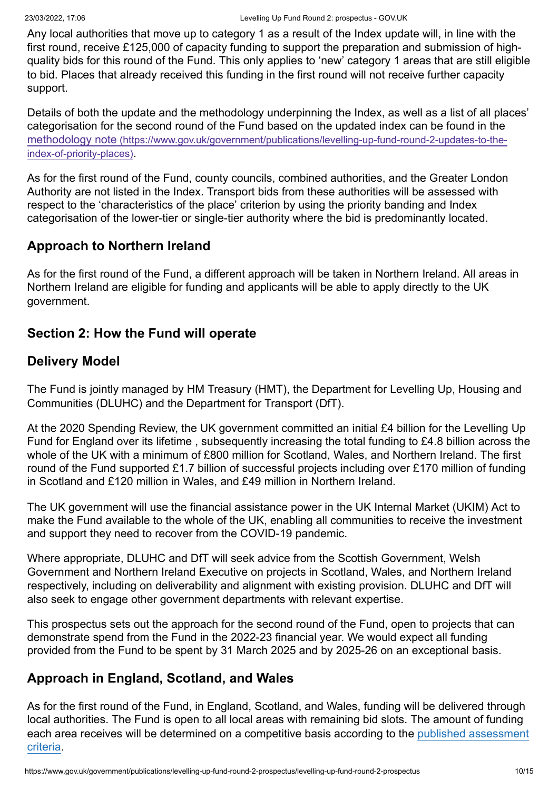Any local authorities that move up to category 1 as a result of the Index update will, in line with the first round, receive £125,000 of capacity funding to support the preparation and submission of highquality bids for this round of the Fund. This only applies to 'new' category 1 areas that are still eligible to bid. Places that already received this funding in the first round will not receive further capacity support.

Details of both the update and the methodology underpinning the Index, as well as a list of all places' categorisation for the second round of the Fund based on the updated index can be found in the methodology note [\(https://www.gov.uk/government/publications/levelling-up-fund-round-2-updates-to-the](https://www.gov.uk/government/publications/levelling-up-fund-round-2-updates-to-the-index-of-priority-places)index-of-priority-places).

As for the first round of the Fund, county councils, combined authorities, and the Greater London Authority are not listed in the Index. Transport bids from these authorities will be assessed with respect to the 'characteristics of the place' criterion by using the priority banding and Index categorisation of the lower-tier or single-tier authority where the bid is predominantly located.

# **Approach to Northern Ireland**

As for the first round of the Fund, a different approach will be taken in Northern Ireland. All areas in Northern Ireland are eligible for funding and applicants will be able to apply directly to the UK government.

#### **Section 2: How the Fund will operate**

# **Delivery Model**

The Fund is jointly managed by HM Treasury (HMT), the Department for Levelling Up, Housing and Communities (DLUHC) and the Department for Transport (DfT).

At the 2020 Spending Review, the UK government committed an initial £4 billion for the Levelling Up Fund for England over its lifetime , subsequently increasing the total funding to £4.8 billion across the whole of the UK with a minimum of £800 million for Scotland, Wales, and Northern Ireland. The first round of the Fund supported £1.7 billion of successful projects including over £170 million of funding in Scotland and £120 million in Wales, and £49 million in Northern Ireland.

The UK government will use the financial assistance power in the UK Internal Market (UKIM) Act to make the Fund available to the whole of the UK, enabling all communities to receive the investment and support they need to recover from the COVID-19 pandemic.

Where appropriate, DLUHC and DfT will seek advice from the Scottish Government, Welsh Government and Northern Ireland Executive on projects in Scotland, Wales, and Northern Ireland respectively, including on deliverability and alignment with existing provision. DLUHC and DfT will also seek to engage other government departments with relevant expertise.

This prospectus sets out the approach for the second round of the Fund, open to projects that can demonstrate spend from the Fund in the 2022-23 financial year. We would expect all funding provided from the Fund to be spent by 31 March 2025 and by 2025-26 on an exceptional basis.

# **Approach in England, Scotland, and Wales**

As for the first round of the Fund, in England, Scotland, and Wales, funding will be delivered through local authorities. The Fund is open to all local areas with remaining bid slots. The amount of funding [each area receives will be determined on a competitive basis according to the published assessment](#page-12-0) criteria.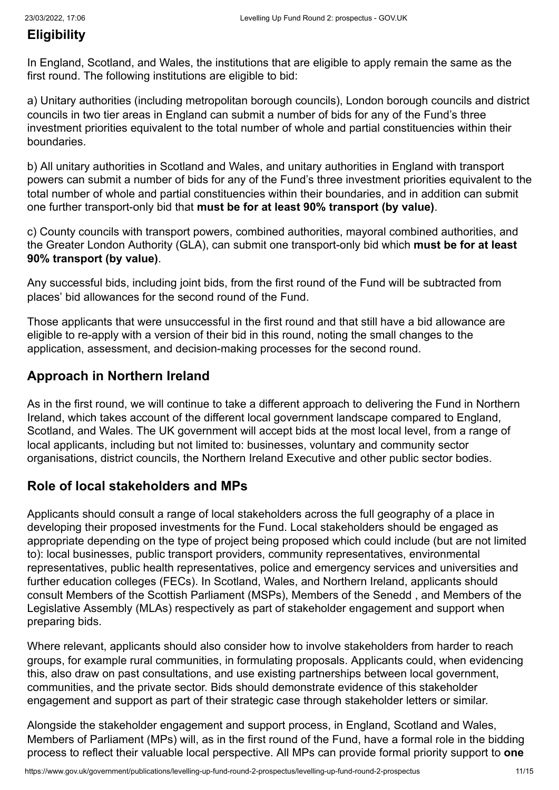# <span id="page-10-0"></span>**Eligibility**

In England, Scotland, and Wales, the institutions that are eligible to apply remain the same as the first round. The following institutions are eligible to bid:

a) Unitary authorities (including metropolitan borough councils), London borough councils and district councils in two tier areas in England can submit a number of bids for any of the Fund's three investment priorities equivalent to the total number of whole and partial constituencies within their boundaries.

b) All unitary authorities in Scotland and Wales, and unitary authorities in England with transport powers can submit a number of bids for any of the Fund's three investment priorities equivalent to the total number of whole and partial constituencies within their boundaries, and in addition can submit one further transport-only bid that **must be for at least 90% transport (by value)**.

c) County councils with transport powers, combined authorities, mayoral combined authorities, and the Greater London Authority (GLA), can submit one transport-only bid which **must be for at least 90% transport (by value)**.

Any successful bids, including joint bids, from the first round of the Fund will be subtracted from places' bid allowances for the second round of the Fund.

Those applicants that were unsuccessful in the first round and that still have a bid allowance are eligible to re-apply with a version of their bid in this round, noting the small changes to the application, assessment, and decision-making processes for the second round.

# **Approach in Northern Ireland**

As in the first round, we will continue to take a different approach to delivering the Fund in Northern Ireland, which takes account of the different local government landscape compared to England, Scotland, and Wales. The UK government will accept bids at the most local level, from a range of local applicants, including but not limited to: businesses, voluntary and community sector organisations, district councils, the Northern Ireland Executive and other public sector bodies.

# <span id="page-10-1"></span>**Role of local stakeholders and MPs**

Applicants should consult a range of local stakeholders across the full geography of a place in developing their proposed investments for the Fund. Local stakeholders should be engaged as appropriate depending on the type of project being proposed which could include (but are not limited to): local businesses, public transport providers, community representatives, environmental representatives, public health representatives, police and emergency services and universities and further education colleges (FECs). In Scotland, Wales, and Northern Ireland, applicants should consult Members of the Scottish Parliament (MSPs), Members of the Senedd , and Members of the Legislative Assembly (MLAs) respectively as part of stakeholder engagement and support when preparing bids.

Where relevant, applicants should also consider how to involve stakeholders from harder to reach groups, for example rural communities, in formulating proposals. Applicants could, when evidencing this, also draw on past consultations, and use existing partnerships between local government, communities, and the private sector. Bids should demonstrate evidence of this stakeholder engagement and support as part of their strategic case through stakeholder letters or similar.

Alongside the stakeholder engagement and support process, in England, Scotland and Wales, Members of Parliament (MPs) will, as in the first round of the Fund, have a formal role in the bidding process to reflect their valuable local perspective. All MPs can provide formal priority support to **one**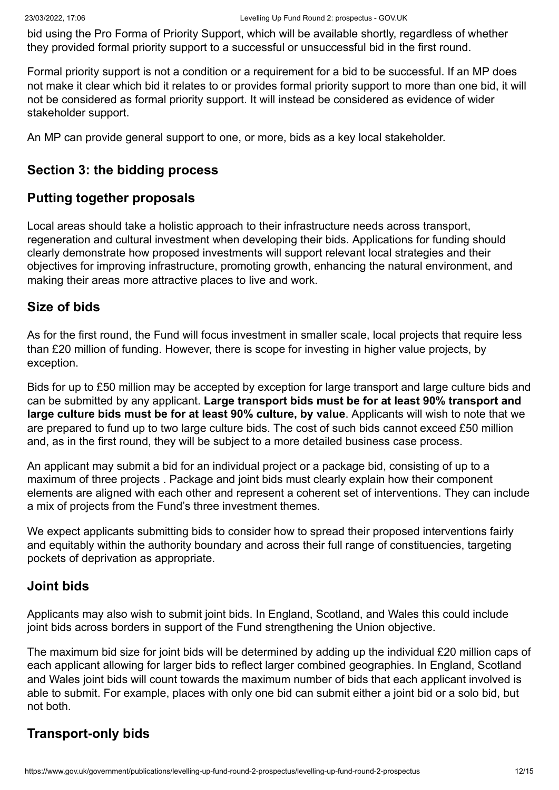bid using the Pro Forma of Priority Support, which will be available shortly, regardless of whether they provided formal priority support to a successful or unsuccessful bid in the first round.

Formal priority support is not a condition or a requirement for a bid to be successful. If an MP does not make it clear which bid it relates to or provides formal priority support to more than one bid, it will not be considered as formal priority support. It will instead be considered as evidence of wider stakeholder support.

An MP can provide general support to one, or more, bids as a key local stakeholder.

# **Section 3: the bidding process**

#### **Putting together proposals**

Local areas should take a holistic approach to their infrastructure needs across transport, regeneration and cultural investment when developing their bids. Applications for funding should clearly demonstrate how proposed investments will support relevant local strategies and their objectives for improving infrastructure, promoting growth, enhancing the natural environment, and making their areas more attractive places to live and work.

#### **Size of bids**

As for the first round, the Fund will focus investment in smaller scale, local projects that require less than £20 million of funding. However, there is scope for investing in higher value projects, by exception.

Bids for up to £50 million may be accepted by exception for large transport and large culture bids and can be submitted by any applicant. **Large transport bids must be for at least 90% transport and large culture bids must be for at least 90% culture, by value**. Applicants will wish to note that we are prepared to fund up to two large culture bids. The cost of such bids cannot exceed £50 million and, as in the first round, they will be subject to a more detailed business case process.

An applicant may submit a bid for an individual project or a package bid, consisting of up to a maximum of three projects . Package and joint bids must clearly explain how their component elements are aligned with each other and represent a coherent set of interventions. They can include a mix of projects from the Fund's three investment themes.

We expect applicants submitting bids to consider how to spread their proposed interventions fairly and equitably within the authority boundary and across their full range of constituencies, targeting pockets of deprivation as appropriate.

#### **Joint bids**

Applicants may also wish to submit joint bids. In England, Scotland, and Wales this could include joint bids across borders in support of the Fund strengthening the Union objective.

The maximum bid size for joint bids will be determined by adding up the individual £20 million caps of each applicant allowing for larger bids to reflect larger combined geographies. In England, Scotland and Wales joint bids will count towards the maximum number of bids that each applicant involved is able to submit. For example, places with only one bid can submit either a joint bid or a solo bid, but not both.

# **Transport-only bids**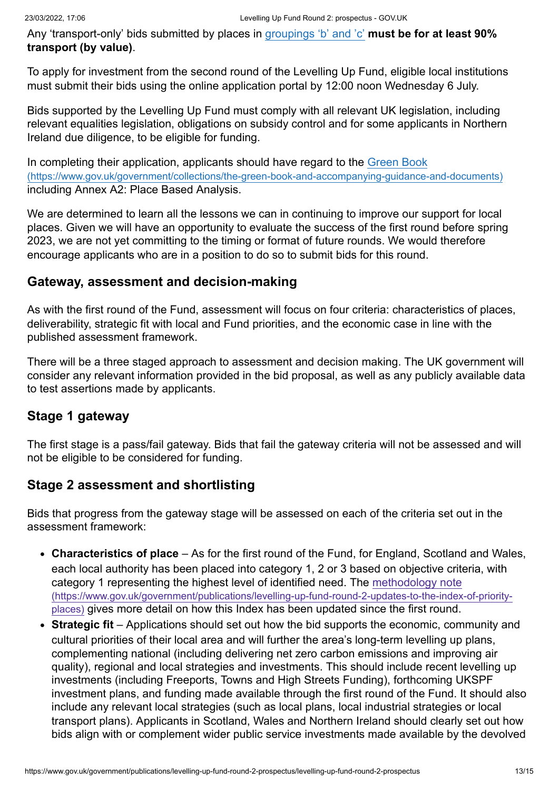Any 'transport-only' bids submitted by places in [groupings 'b' and 'c'](#page-10-0) **must be for at least 90% transport (by value)**.

To apply for investment from the second round of the Levelling Up Fund, eligible local institutions must submit their bids using the online application portal by 12:00 noon Wednesday 6 July.

Bids supported by the Levelling Up Fund must comply with all relevant UK legislation, including relevant equalities legislation, obligations on subsidy control and for some applicants in Northern Ireland due diligence, to be eligible for funding.

In completing their application, applicants should have regard to the Green Book [\(https://www.gov.uk/government/collections/the-green-book-and-accompanying-guidance-and-documents\)](https://www.gov.uk/government/collections/the-green-book-and-accompanying-guidance-and-documents) including Annex A2: Place Based Analysis.

We are determined to learn all the lessons we can in continuing to improve our support for local places. Given we will have an opportunity to evaluate the success of the first round before spring 2023, we are not yet committing to the timing or format of future rounds. We would therefore encourage applicants who are in a position to do so to submit bids for this round.

#### **Gateway, assessment and decision-making**

As with the first round of the Fund, assessment will focus on four criteria: characteristics of places, deliverability, strategic fit with local and Fund priorities, and the economic case in line with the published assessment framework.

There will be a three staged approach to assessment and decision making. The UK government will consider any relevant information provided in the bid proposal, as well as any publicly available data to test assertions made by applicants.

# **Stage 1 gateway**

The first stage is a pass/fail gateway. Bids that fail the gateway criteria will not be assessed and will not be eligible to be considered for funding.

# <span id="page-12-0"></span>**Stage 2 assessment and shortlisting**

Bids that progress from the gateway stage will be assessed on each of the criteria set out in the assessment framework:

- **Characteristics of place** As for the first round of the Fund, for England, Scotland and Wales, each local authority has been placed into category 1, 2 or 3 based on objective criteria, with category 1 representing the highest level of identified need. The methodology note [\(https://www.gov.uk/government/publications/levelling-up-fund-round-2-updates-to-the-index-of-priority](https://www.gov.uk/government/publications/levelling-up-fund-round-2-updates-to-the-index-of-priority-places)places) gives more detail on how this Index has been updated since the first round.
- **Strategic fit** Applications should set out how the bid supports the economic, community and cultural priorities of their local area and will further the area's long-term levelling up plans, complementing national (including delivering net zero carbon emissions and improving air quality), regional and local strategies and investments. This should include recent levelling up investments (including Freeports, Towns and High Streets Funding), forthcoming UKSPF investment plans, and funding made available through the first round of the Fund. It should also include any relevant local strategies (such as local plans, local industrial strategies or local transport plans). Applicants in Scotland, Wales and Northern Ireland should clearly set out how bids align with or complement wider public service investments made available by the devolved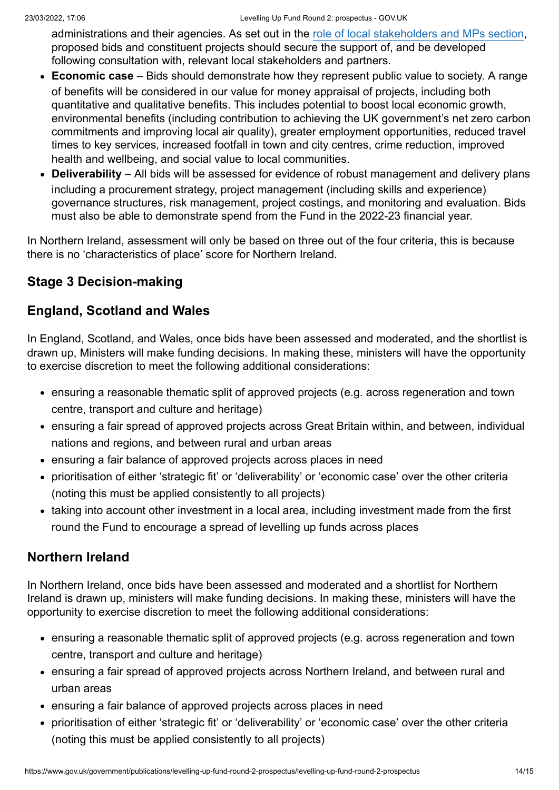administrations and their agencies. As set out in the [role of local stakeholders and MPs section](#page-10-1), proposed bids and constituent projects should secure the support of, and be developed following consultation with, relevant local stakeholders and partners.

- **Economic case** Bids should demonstrate how they represent public value to society. A range of benefits will be considered in our value for money appraisal of projects, including both quantitative and qualitative benefits. This includes potential to boost local economic growth, environmental benefits (including contribution to achieving the UK government's net zero carbon commitments and improving local air quality), greater employment opportunities, reduced travel times to key services, increased footfall in town and city centres, crime reduction, improved health and wellbeing, and social value to local communities.
- **Deliverability** All bids will be assessed for evidence of robust management and delivery plans including a procurement strategy, project management (including skills and experience) governance structures, risk management, project costings, and monitoring and evaluation. Bids must also be able to demonstrate spend from the Fund in the 2022-23 financial year.

In Northern Ireland, assessment will only be based on three out of the four criteria, this is because there is no 'characteristics of place' score for Northern Ireland.

# **Stage 3 Decision-making**

# **England, Scotland and Wales**

In England, Scotland, and Wales, once bids have been assessed and moderated, and the shortlist is drawn up, Ministers will make funding decisions. In making these, ministers will have the opportunity to exercise discretion to meet the following additional considerations:

- ensuring a reasonable thematic split of approved projects (e.g. across regeneration and town centre, transport and culture and heritage)
- ensuring a fair spread of approved projects across Great Britain within, and between, individual nations and regions, and between rural and urban areas
- ensuring a fair balance of approved projects across places in need
- prioritisation of either 'strategic fit' or 'deliverability' or 'economic case' over the other criteria (noting this must be applied consistently to all projects)
- taking into account other investment in a local area, including investment made from the first round the Fund to encourage a spread of levelling up funds across places

# **Northern Ireland**

In Northern Ireland, once bids have been assessed and moderated and a shortlist for Northern Ireland is drawn up, ministers will make funding decisions. In making these, ministers will have the opportunity to exercise discretion to meet the following additional considerations:

- ensuring a reasonable thematic split of approved projects (e.g. across regeneration and town centre, transport and culture and heritage)
- ensuring a fair spread of approved projects across Northern Ireland, and between rural and urban areas
- ensuring a fair balance of approved projects across places in need
- prioritisation of either 'strategic fit' or 'deliverability' or 'economic case' over the other criteria (noting this must be applied consistently to all projects)